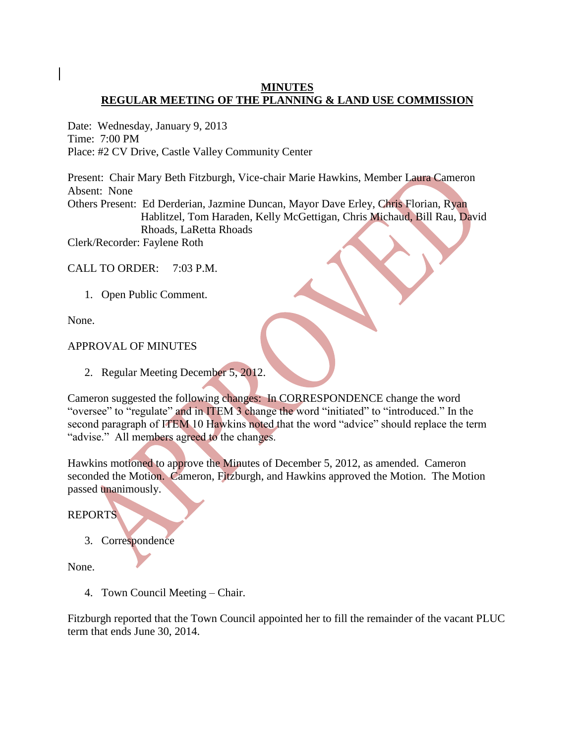# **MINUTES REGULAR MEETING OF THE PLANNING & LAND USE COMMISSION**

Date: Wednesday, January 9, 2013 Time: 7:00 PM Place: #2 CV Drive, Castle Valley Community Center

Present: Chair Mary Beth Fitzburgh, Vice-chair Marie Hawkins, Member Laura Cameron Absent: None Others Present: Ed Derderian, Jazmine Duncan, Mayor Dave Erley, Chris Florian, Ryan Hablitzel, Tom Haraden, Kelly McGettigan, Chris Michaud, Bill Rau, David Rhoads, LaRetta Rhoads

Clerk/Recorder: Faylene Roth

CALL TO ORDER: 7:03 P.M.

1. Open Public Comment.

None.

# APPROVAL OF MINUTES

2. Regular Meeting December 5, 2012.

Cameron suggested the following changes: In CORRESPONDENCE change the word "oversee" to "regulate" and in ITEM 3 change the word "initiated" to "introduced." In the second paragraph of ITEM 10 Hawkins noted that the word "advice" should replace the term "advise." All members agreed to the changes.

Hawkins motioned to approve the Minutes of December 5, 2012, as amended. Cameron seconded the Motion. Cameron, Fitzburgh, and Hawkins approved the Motion. The Motion passed unanimously.

REPORTS

3. Correspondence

None.

4. Town Council Meeting – Chair.

Fitzburgh reported that the Town Council appointed her to fill the remainder of the vacant PLUC term that ends June 30, 2014.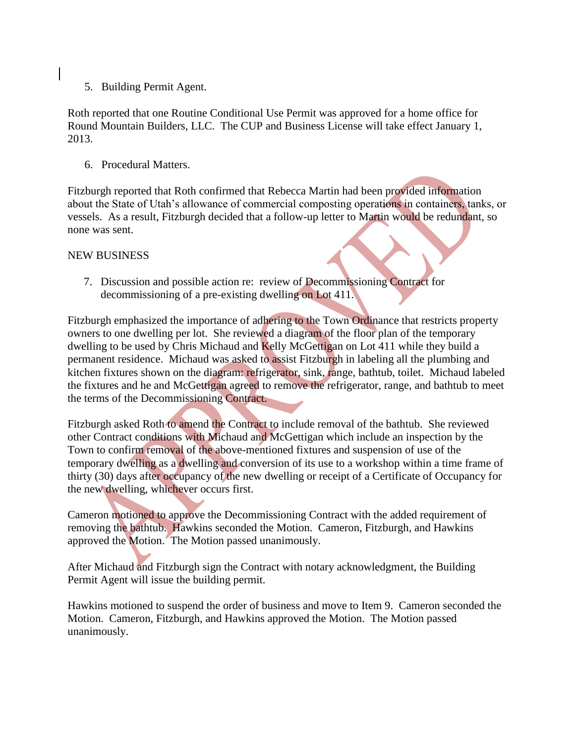5. Building Permit Agent.

Roth reported that one Routine Conditional Use Permit was approved for a home office for Round Mountain Builders, LLC. The CUP and Business License will take effect January 1, 2013.

6. Procedural Matters.

Fitzburgh reported that Roth confirmed that Rebecca Martin had been provided information about the State of Utah's allowance of commercial composting operations in containers, tanks, or vessels. As a result, Fitzburgh decided that a follow-up letter to Martin would be redundant, so none was sent.

### NEW BUSINESS

7. Discussion and possible action re: review of Decommissioning Contract for decommissioning of a pre-existing dwelling on Lot 411.

Fitzburgh emphasized the importance of adhering to the Town Ordinance that restricts property owners to one dwelling per lot. She reviewed a diagram of the floor plan of the temporary dwelling to be used by Chris Michaud and Kelly McGettigan on Lot 411 while they build a permanent residence. Michaud was asked to assist Fitzburgh in labeling all the plumbing and kitchen fixtures shown on the diagram: refrigerator, sink, range, bathtub, toilet. Michaud labeled the fixtures and he and McGettigan agreed to remove the refrigerator, range, and bathtub to meet the terms of the Decommissioning Contract.

Fitzburgh asked Roth to amend the Contract to include removal of the bathtub. She reviewed other Contract conditions with Michaud and McGettigan which include an inspection by the Town to confirm removal of the above-mentioned fixtures and suspension of use of the temporary dwelling as a dwelling and conversion of its use to a workshop within a time frame of thirty (30) days after occupancy of the new dwelling or receipt of a Certificate of Occupancy for the new dwelling, whichever occurs first.

Cameron motioned to approve the Decommissioning Contract with the added requirement of removing the bathtub. Hawkins seconded the Motion. Cameron, Fitzburgh, and Hawkins approved the Motion. The Motion passed unanimously.

After Michaud and Fitzburgh sign the Contract with notary acknowledgment, the Building Permit Agent will issue the building permit.

Hawkins motioned to suspend the order of business and move to Item 9. Cameron seconded the Motion. Cameron, Fitzburgh, and Hawkins approved the Motion. The Motion passed unanimously.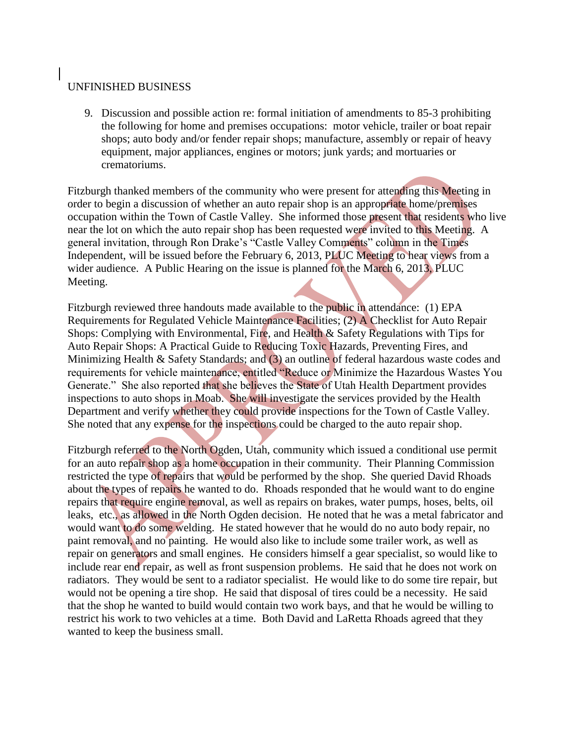## UNFINISHED BUSINESS

 9. Discussion and possible action re: formal initiation of amendments to 85-3 prohibiting the following for home and premises occupations: motor vehicle, trailer or boat repair shops; auto body and/or fender repair shops; manufacture, assembly or repair of heavy equipment, major appliances, engines or motors; junk yards; and mortuaries or crematoriums.

Fitzburgh thanked members of the community who were present for attending this Meeting in order to begin a discussion of whether an auto repair shop is an appropriate home/premises occupation within the Town of Castle Valley. She informed those present that residents who live near the lot on which the auto repair shop has been requested were invited to this Meeting. A general invitation, through Ron Drake's "Castle Valley Comments" column in the Times Independent, will be issued before the February 6, 2013, PLUC Meeting to hear views from a wider audience. A Public Hearing on the issue is planned for the March 6, 2013, PLUC Meeting.

Fitzburgh reviewed three handouts made available to the public in attendance: (1) EPA Requirements for Regulated Vehicle Maintenance Facilities; (2) A Checklist for Auto Repair Shops: Complying with Environmental, Fire, and Health & Safety Regulations with Tips for Auto Repair Shops: A Practical Guide to Reducing Toxic Hazards, Preventing Fires, and Minimizing Health & Safety Standards; and (3) an outline of federal hazardous waste codes and requirements for vehicle maintenance, entitled "Reduce or Minimize the Hazardous Wastes You Generate." She also reported that she believes the State of Utah Health Department provides inspections to auto shops in Moab. She will investigate the services provided by the Health Department and verify whether they could provide inspections for the Town of Castle Valley. She noted that any expense for the inspections could be charged to the auto repair shop.

Fitzburgh referred to the North Ogden, Utah, community which issued a conditional use permit for an auto repair shop as a home occupation in their community. Their Planning Commission restricted the type of repairs that would be performed by the shop. She queried David Rhoads about the types of repairs he wanted to do. Rhoads responded that he would want to do engine repairs that require engine removal, as well as repairs on brakes, water pumps, hoses, belts, oil leaks, etc., as allowed in the North Ogden decision. He noted that he was a metal fabricator and would want to do some welding. He stated however that he would do no auto body repair, no paint removal, and no painting. He would also like to include some trailer work, as well as repair on generators and small engines. He considers himself a gear specialist, so would like to include rear end repair, as well as front suspension problems. He said that he does not work on radiators. They would be sent to a radiator specialist. He would like to do some tire repair, but would not be opening a tire shop. He said that disposal of tires could be a necessity. He said that the shop he wanted to build would contain two work bays, and that he would be willing to restrict his work to two vehicles at a time. Both David and LaRetta Rhoads agreed that they wanted to keep the business small.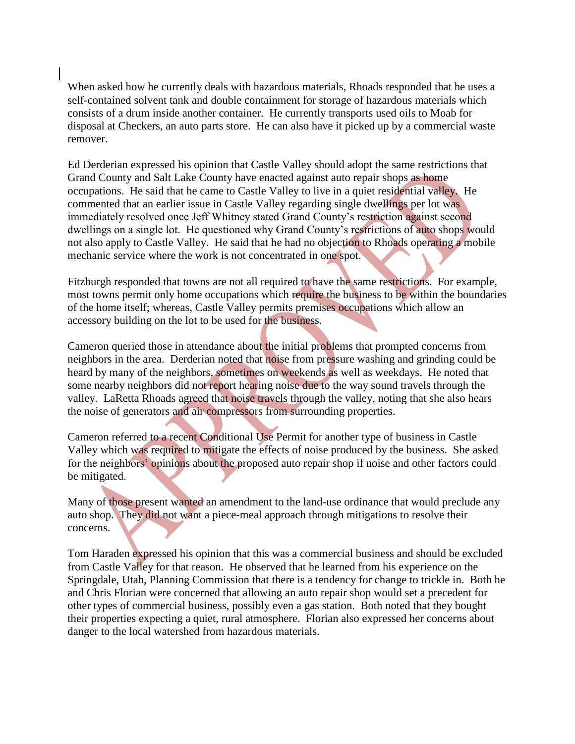When asked how he currently deals with hazardous materials, Rhoads responded that he uses a self-contained solvent tank and double containment for storage of hazardous materials which consists of a drum inside another container. He currently transports used oils to Moab for disposal at Checkers, an auto parts store. He can also have it picked up by a commercial waste remover.

Ed Derderian expressed his opinion that Castle Valley should adopt the same restrictions that Grand County and Salt Lake County have enacted against auto repair shops as home occupations. He said that he came to Castle Valley to live in a quiet residential valley. He commented that an earlier issue in Castle Valley regarding single dwellings per lot was immediately resolved once Jeff Whitney stated Grand County's restriction against second dwellings on a single lot. He questioned why Grand County's restrictions of auto shops would not also apply to Castle Valley. He said that he had no objection to Rhoads operating a mobile mechanic service where the work is not concentrated in one spot.

Fitzburgh responded that towns are not all required to have the same restrictions. For example, most towns permit only home occupations which require the business to be within the boundaries of the home itself; whereas, Castle Valley permits premises occupations which allow an accessory building on the lot to be used for the business.

Cameron queried those in attendance about the initial problems that prompted concerns from neighbors in the area. Derderian noted that noise from pressure washing and grinding could be heard by many of the neighbors, sometimes on weekends as well as weekdays. He noted that some nearby neighbors did not report hearing noise due to the way sound travels through the valley. LaRetta Rhoads agreed that noise travels through the valley, noting that she also hears the noise of generators and air compressors from surrounding properties.

Cameron referred to a recent Conditional Use Permit for another type of business in Castle Valley which was required to mitigate the effects of noise produced by the business. She asked for the neighbors' opinions about the proposed auto repair shop if noise and other factors could be mitigated.

Many of those present wanted an amendment to the land-use ordinance that would preclude any auto shop. They did not want a piece-meal approach through mitigations to resolve their concerns.

Tom Haraden expressed his opinion that this was a commercial business and should be excluded from Castle Valley for that reason. He observed that he learned from his experience on the Springdale, Utah, Planning Commission that there is a tendency for change to trickle in. Both he and Chris Florian were concerned that allowing an auto repair shop would set a precedent for other types of commercial business, possibly even a gas station. Both noted that they bought their properties expecting a quiet, rural atmosphere. Florian also expressed her concerns about danger to the local watershed from hazardous materials.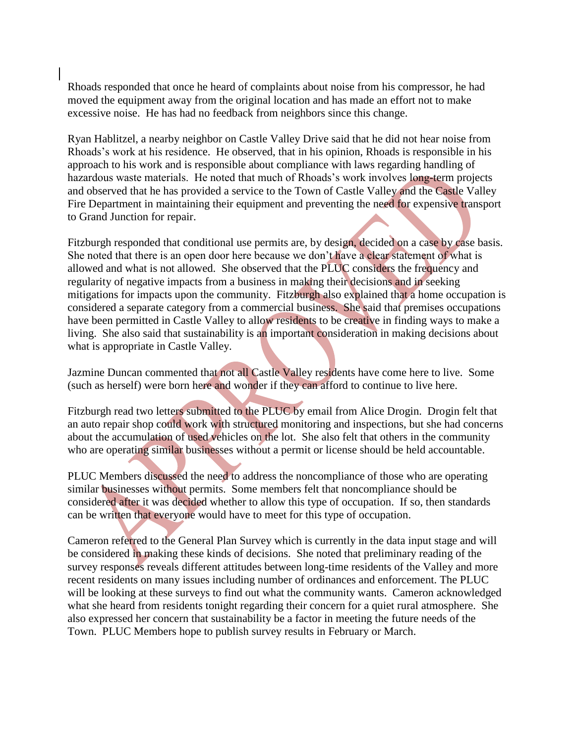Rhoads responded that once he heard of complaints about noise from his compressor, he had moved the equipment away from the original location and has made an effort not to make excessive noise. He has had no feedback from neighbors since this change.

Ryan Hablitzel, a nearby neighbor on Castle Valley Drive said that he did not hear noise from Rhoads's work at his residence. He observed, that in his opinion, Rhoads is responsible in his approach to his work and is responsible about compliance with laws regarding handling of hazardous waste materials. He noted that much of Rhoads's work involves long-term projects and observed that he has provided a service to the Town of Castle Valley and the Castle Valley Fire Department in maintaining their equipment and preventing the need for expensive transport to Grand Junction for repair.

Fitzburgh responded that conditional use permits are, by design, decided on a case by case basis. She noted that there is an open door here because we don't have a clear statement of what is allowed and what is not allowed. She observed that the PLUC considers the frequency and regularity of negative impacts from a business in making their decisions and in seeking mitigations for impacts upon the community. Fitzburgh also explained that a home occupation is considered a separate category from a commercial business. She said that premises occupations have been permitted in Castle Valley to allow residents to be creative in finding ways to make a living. She also said that sustainability is an important consideration in making decisions about what is appropriate in Castle Valley.

Jazmine Duncan commented that not all Castle Valley residents have come here to live. Some (such as herself) were born here and wonder if they can afford to continue to live here.

Fitzburgh read two letters submitted to the PLUC by email from Alice Drogin. Drogin felt that an auto repair shop could work with structured monitoring and inspections, but she had concerns about the accumulation of used vehicles on the lot. She also felt that others in the community who are operating similar businesses without a permit or license should be held accountable.

PLUC Members discussed the need to address the noncompliance of those who are operating similar businesses without permits. Some members felt that noncompliance should be considered after it was decided whether to allow this type of occupation. If so, then standards can be written that everyone would have to meet for this type of occupation.

Cameron referred to the General Plan Survey which is currently in the data input stage and will be considered in making these kinds of decisions. She noted that preliminary reading of the survey responses reveals different attitudes between long-time residents of the Valley and more recent residents on many issues including number of ordinances and enforcement. The PLUC will be looking at these surveys to find out what the community wants. Cameron acknowledged what she heard from residents tonight regarding their concern for a quiet rural atmosphere. She also expressed her concern that sustainability be a factor in meeting the future needs of the Town. PLUC Members hope to publish survey results in February or March.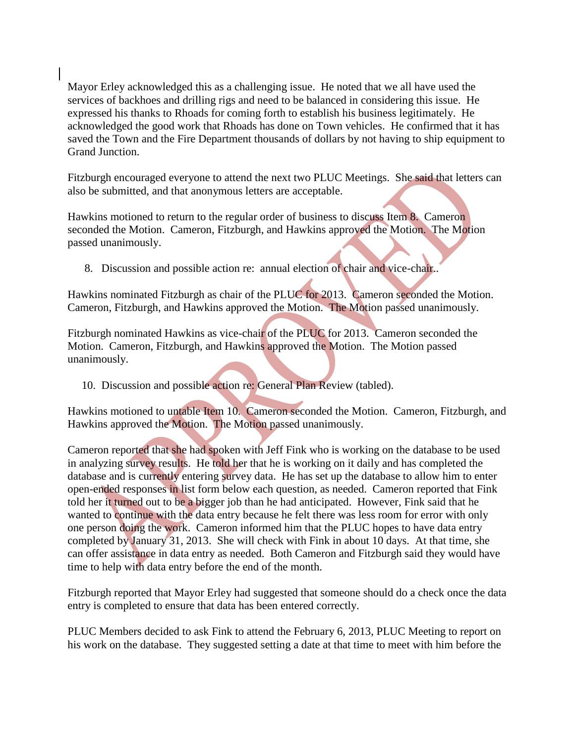Mayor Erley acknowledged this as a challenging issue. He noted that we all have used the services of backhoes and drilling rigs and need to be balanced in considering this issue. He expressed his thanks to Rhoads for coming forth to establish his business legitimately. He acknowledged the good work that Rhoads has done on Town vehicles. He confirmed that it has saved the Town and the Fire Department thousands of dollars by not having to ship equipment to Grand Junction.

Fitzburgh encouraged everyone to attend the next two PLUC Meetings. She said that letters can also be submitted, and that anonymous letters are acceptable.

Hawkins motioned to return to the regular order of business to discuss Item 8. Cameron seconded the Motion. Cameron, Fitzburgh, and Hawkins approved the Motion. The Motion passed unanimously.

8. Discussion and possible action re: annual election of chair and vice-chair..

Hawkins nominated Fitzburgh as chair of the PLUC for 2013. Cameron seconded the Motion. Cameron, Fitzburgh, and Hawkins approved the Motion. The Motion passed unanimously.

Fitzburgh nominated Hawkins as vice-chair of the PLUC for 2013. Cameron seconded the Motion. Cameron, Fitzburgh, and Hawkins approved the Motion. The Motion passed unanimously.

10. Discussion and possible action re: General Plan Review (tabled).

Hawkins motioned to untable Item 10. Cameron seconded the Motion. Cameron, Fitzburgh, and Hawkins approved the Motion. The Motion passed unanimously.

Cameron reported that she had spoken with Jeff Fink who is working on the database to be used in analyzing survey results. He told her that he is working on it daily and has completed the database and is currently entering survey data. He has set up the database to allow him to enter open-ended responses in list form below each question, as needed. Cameron reported that Fink told her it turned out to be a bigger job than he had anticipated. However, Fink said that he wanted to continue with the data entry because he felt there was less room for error with only one person doing the work. Cameron informed him that the PLUC hopes to have data entry completed by January 31, 2013. She will check with Fink in about 10 days. At that time, she can offer assistance in data entry as needed. Both Cameron and Fitzburgh said they would have time to help with data entry before the end of the month.

Fitzburgh reported that Mayor Erley had suggested that someone should do a check once the data entry is completed to ensure that data has been entered correctly.

PLUC Members decided to ask Fink to attend the February 6, 2013, PLUC Meeting to report on his work on the database. They suggested setting a date at that time to meet with him before the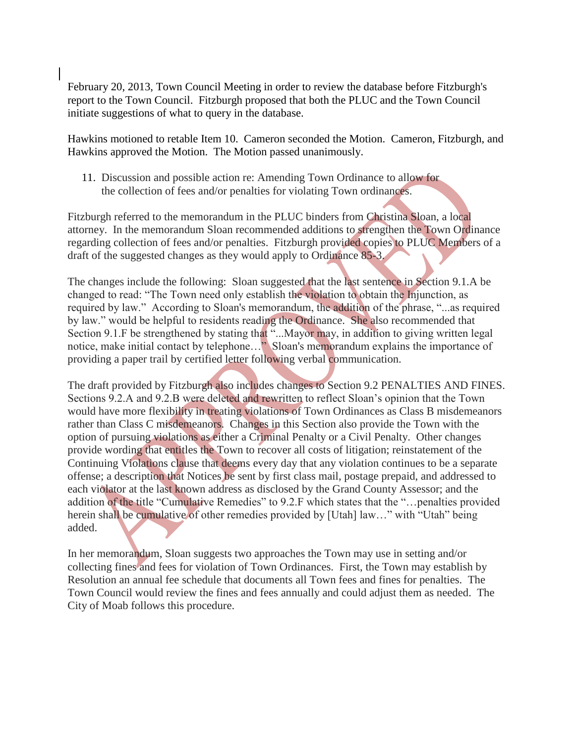February 20, 2013, Town Council Meeting in order to review the database before Fitzburgh's report to the Town Council. Fitzburgh proposed that both the PLUC and the Town Council initiate suggestions of what to query in the database.

Hawkins motioned to retable Item 10. Cameron seconded the Motion. Cameron, Fitzburgh, and Hawkins approved the Motion. The Motion passed unanimously.

 11. Discussion and possible action re: Amending Town Ordinance to allow for the collection of fees and/or penalties for violating Town ordinances.

Fitzburgh referred to the memorandum in the PLUC binders from Christina Sloan, a local attorney. In the memorandum Sloan recommended additions to strengthen the Town Ordinance regarding collection of fees and/or penalties. Fitzburgh provided copies to PLUC Members of a draft of the suggested changes as they would apply to Ordinance 85-3.

The changes include the following: Sloan suggested that the last sentence in Section 9.1.A be changed to read: "The Town need only establish the violation to obtain the Injunction, as required by law." According to Sloan's memorandum, the addition of the phrase, "...as required by law." would be helpful to residents reading the Ordinance. She also recommended that Section 9.1.F be strengthened by stating that "...Mayor may, in addition to giving written legal notice, make initial contact by telephone…" Sloan's memorandum explains the importance of providing a paper trail by certified letter following verbal communication.

The draft provided by Fitzburgh also includes changes to Section 9.2 PENALTIES AND FINES. Sections 9.2.A and 9.2.B were deleted and rewritten to reflect Sloan's opinion that the Town would have more flexibility in treating violations of Town Ordinances as Class B misdemeanors rather than Class C misdemeanors. Changes in this Section also provide the Town with the option of pursuing violations as either a Criminal Penalty or a Civil Penalty. Other changes provide wording that entitles the Town to recover all costs of litigation; reinstatement of the Continuing Violations clause that deems every day that any violation continues to be a separate offense; a description that Notices be sent by first class mail, postage prepaid, and addressed to each violator at the last known address as disclosed by the Grand County Assessor; and the addition of the title "Cumulative Remedies" to 9.2.F which states that the "…penalties provided herein shall be cumulative of other remedies provided by [Utah] law..." with "Utah" being added.

In her memorandum, Sloan suggests two approaches the Town may use in setting and/or collecting fines and fees for violation of Town Ordinances. First, the Town may establish by Resolution an annual fee schedule that documents all Town fees and fines for penalties. The Town Council would review the fines and fees annually and could adjust them as needed. The City of Moab follows this procedure.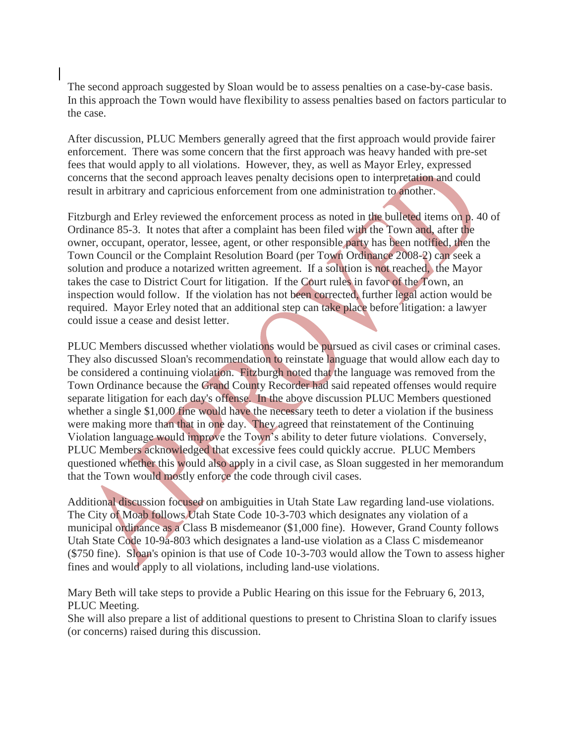The second approach suggested by Sloan would be to assess penalties on a case-by-case basis. In this approach the Town would have flexibility to assess penalties based on factors particular to the case.

After discussion, PLUC Members generally agreed that the first approach would provide fairer enforcement. There was some concern that the first approach was heavy handed with pre-set fees that would apply to all violations. However, they, as well as Mayor Erley, expressed concerns that the second approach leaves penalty decisions open to interpretation and could result in arbitrary and capricious enforcement from one administration to another.

Fitzburgh and Erley reviewed the enforcement process as noted in the bulleted items on p. 40 of Ordinance 85-3. It notes that after a complaint has been filed with the Town and, after the owner, occupant, operator, lessee, agent, or other responsible party has been notified, then the Town Council or the Complaint Resolution Board (per Town Ordinance 2008-2) can seek a solution and produce a notarized written agreement. If a solution is not reached, the Mayor takes the case to District Court for litigation. If the Court rules in favor of the Town, an inspection would follow. If the violation has not been corrected, further legal action would be required. Mayor Erley noted that an additional step can take place before litigation: a lawyer could issue a cease and desist letter.

PLUC Members discussed whether violations would be pursued as civil cases or criminal cases. They also discussed Sloan's recommendation to reinstate language that would allow each day to be considered a continuing violation. Fitzburgh noted that the language was removed from the Town Ordinance because the Grand County Recorder had said repeated offenses would require separate litigation for each day's offense. In the above discussion PLUC Members questioned whether a single \$1,000 fine would have the necessary teeth to deter a violation if the business were making more than that in one day. They agreed that reinstatement of the Continuing Violation language would improve the Town's ability to deter future violations. Conversely, PLUC Members acknowledged that excessive fees could quickly accrue. PLUC Members questioned whether this would also apply in a civil case, as Sloan suggested in her memorandum that the Town would mostly enforce the code through civil cases.

Additional discussion focused on ambiguities in Utah State Law regarding land-use violations. The City of Moab follows Utah State Code 10-3-703 which designates any violation of a municipal ordinance as a Class B misdemeanor (\$1,000 fine). However, Grand County follows Utah State Code 10-9a-803 which designates a land-use violation as a Class C misdemeanor (\$750 fine). Sloan's opinion is that use of Code 10-3-703 would allow the Town to assess higher fines and would apply to all violations, including land-use violations.

Mary Beth will take steps to provide a Public Hearing on this issue for the February 6, 2013, PLUC Meeting.

She will also prepare a list of additional questions to present to Christina Sloan to clarify issues (or concerns) raised during this discussion.